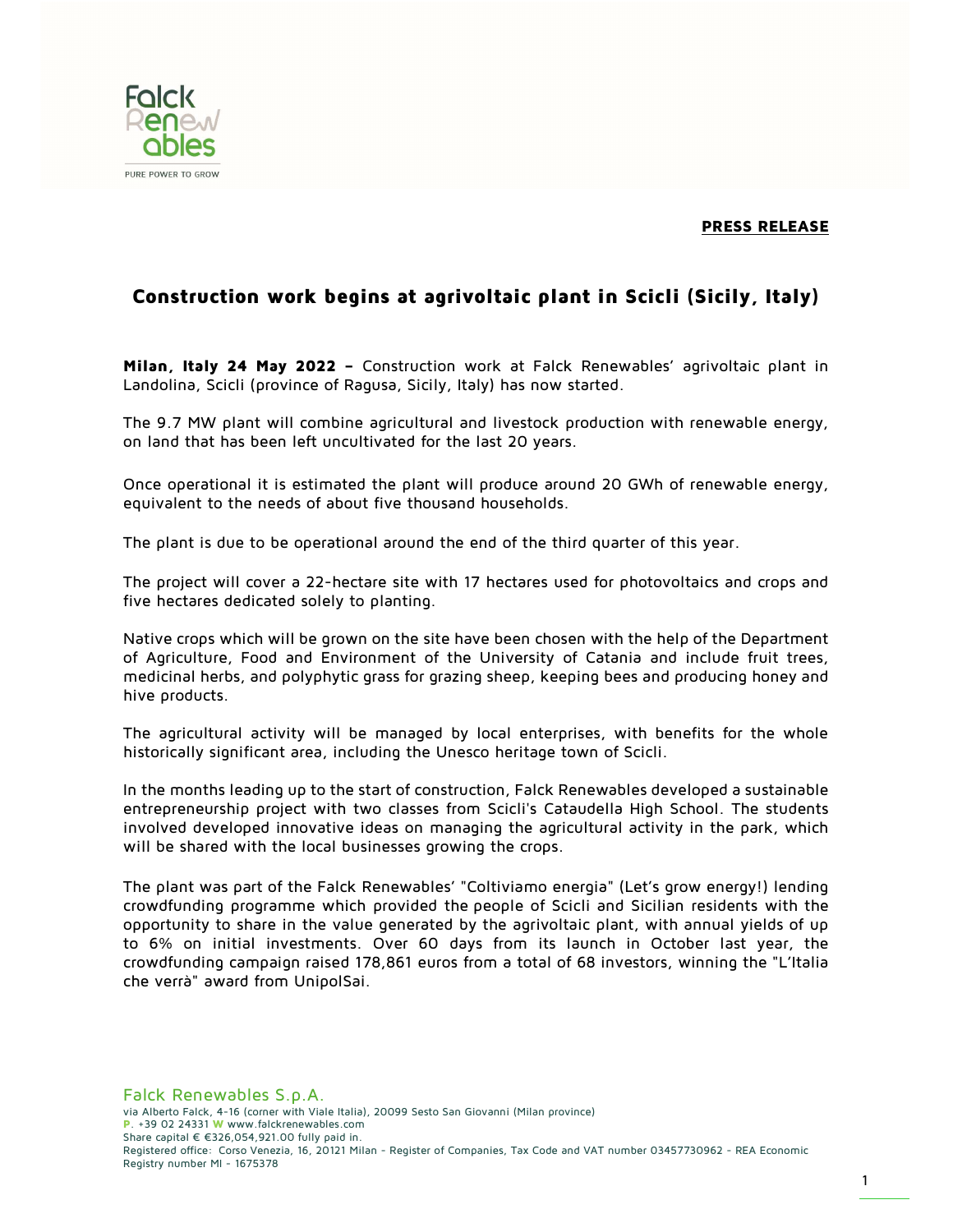## PRESS RELEASE



## Construction work begins at agrivoltaic plant in Scicli (Sicily, Italy)

Milan, Italy 24 May 2022 - Construction work at Falck Renewables' agrivoltaic plant in Landolina, Scicli (province of Ragusa, Sicily, Italy) has now started.

The 9.7 MW plant will combine agricultural and livestock production with renewable energy, on land that has been left uncultivated for the last 20 years.

Once operational it is estimated the plant will produce around 20 GWh of renewable energy, equivalent to the needs of about five thousand households.

The plant is due to be operational around the end of the third quarter of this year.

The project will cover a 22-hectare site with 17 hectares used for photovoltaics and crops and five hectares dedicated solely to planting.

Native crops which will be grown on the site have been chosen with the help of the Department of Agriculture, Food and Environment of the University of Catania and include fruit trees, medicinal herbs, and polyphytic grass for grazing sheep, keeping bees and producing honey and hive products.

The agricultural activity will be managed by local enterprises, with benefits for the whole historically significant area, including the Unesco heritage town of Scicli.

In the months leading up to the start of construction, Falck Renewables developed a sustainable entrepreneurship project with two classes from Scicli's Cataudella High School. The students involved developed innovative ideas on managing the agricultural activity in the park, which will be shared with the local businesses growing the crops.

The plant was part of the Falck Renewables' "Coltiviamo energia" (Let's grow energy!) lending crowdfunding programme which provided the people of Scicli and Sicilian residents with the opportunity to share in the value generated by the agrivoltaic plant, with annual yields of up to 6% on initial investments. Over 60 days from its launch in October last year, the crowdfunding campaign raised 178,861 euros from a total of 68 investors, winning the "L'Italia che verrà" award from UnipolSai.